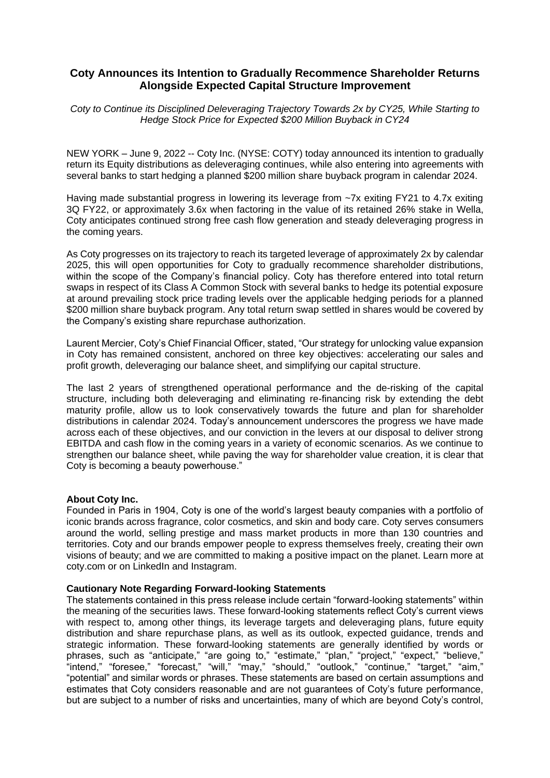# **Coty Announces its Intention to Gradually Recommence Shareholder Returns Alongside Expected Capital Structure Improvement**

*Coty to Continue its Disciplined Deleveraging Trajectory Towards 2x by CY25, While Starting to Hedge Stock Price for Expected \$200 Million Buyback in CY24*

NEW YORK – June 9, 2022 -- Coty Inc. (NYSE: COTY) today announced its intention to gradually return its Equity distributions as deleveraging continues, while also entering into agreements with several banks to start hedging a planned \$200 million share buyback program in calendar 2024.

Having made substantial progress in lowering its leverage from ~7x exiting FY21 to 4.7x exiting 3Q FY22, or approximately 3.6x when factoring in the value of its retained 26% stake in Wella, Coty anticipates continued strong free cash flow generation and steady deleveraging progress in the coming years.

As Coty progresses on its trajectory to reach its targeted leverage of approximately 2x by calendar 2025, this will open opportunities for Coty to gradually recommence shareholder distributions, within the scope of the Company's financial policy. Coty has therefore entered into total return swaps in respect of its Class A Common Stock with several banks to hedge its potential exposure at around prevailing stock price trading levels over the applicable hedging periods for a planned \$200 million share buyback program. Any total return swap settled in shares would be covered by the Company's existing share repurchase authorization.

Laurent Mercier, Coty's Chief Financial Officer, stated, "Our strategy for unlocking value expansion in Coty has remained consistent, anchored on three key objectives: accelerating our sales and profit growth, deleveraging our balance sheet, and simplifying our capital structure.

The last 2 years of strengthened operational performance and the de-risking of the capital structure, including both deleveraging and eliminating re-financing risk by extending the debt maturity profile, allow us to look conservatively towards the future and plan for shareholder distributions in calendar 2024. Today's announcement underscores the progress we have made across each of these objectives, and our conviction in the levers at our disposal to deliver strong EBITDA and cash flow in the coming years in a variety of economic scenarios. As we continue to strengthen our balance sheet, while paving the way for shareholder value creation, it is clear that Coty is becoming a beauty powerhouse."

## **About Coty Inc.**

Founded in Paris in 1904, Coty is one of the world's largest beauty companies with a portfolio of iconic brands across fragrance, color cosmetics, and skin and body care. Coty serves consumers around the world, selling prestige and mass market products in more than 130 countries and territories. Coty and our brands empower people to express themselves freely, creating their own visions of beauty; and we are committed to making a positive impact on the planet. Learn more at coty.com or on LinkedIn and Instagram.

## **Cautionary Note Regarding Forward-looking Statements**

The statements contained in this press release include certain "forward-looking statements" within the meaning of the securities laws. These forward-looking statements reflect Coty's current views with respect to, among other things, its leverage targets and deleveraging plans, future equity distribution and share repurchase plans, as well as its outlook, expected guidance, trends and strategic information. These forward-looking statements are generally identified by words or phrases, such as "anticipate," "are going to," "estimate," "plan," "project," "expect," "believe," "intend," "foresee," "forecast," "will," "may," "should," "outlook," "continue," "target," "aim," "potential" and similar words or phrases. These statements are based on certain assumptions and estimates that Coty considers reasonable and are not guarantees of Coty's future performance, but are subject to a number of risks and uncertainties, many of which are beyond Coty's control,